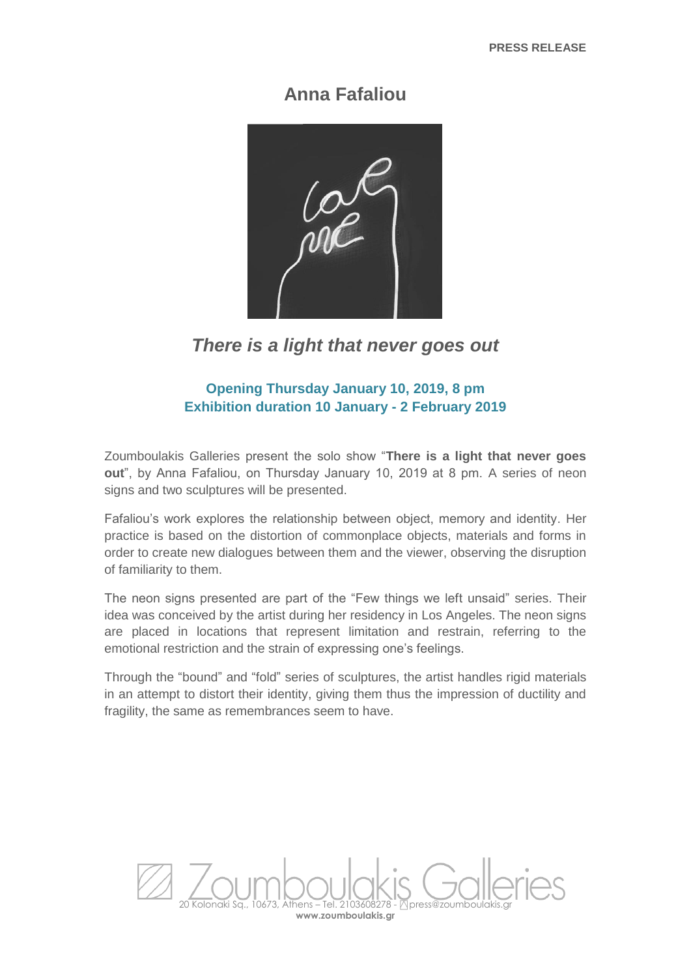## **Anna Fafaliou**



## *There is a light that never goes out*

## **Opening Thursday January 10, 2019, 8 pm Exhibition duration 10 January - 2 February 2019**

Zoumboulakis Galleries present the solo show "**There is a light that never goes out**", by Anna Fafaliou, on Thursday January 10, 2019 at 8 pm. A series of neon signs and two sculptures will be presented.

Fafaliou's work explores the relationship between object, memory and identity. Her practice is based on the distortion of commonplace objects, materials and forms in order to create new dialogues between them and the viewer, observing the disruption of familiarity to them.

The neon signs presented are part of the "Few things we left unsaid" series. Their idea was conceived by the artist during her residency in Los Angeles. The neon signs are placed in locations that represent limitation and restrain, referring to the emotional restriction and the strain of expressing one's feelings.

Through the "bound" and "fold" series of sculptures, the artist handles rigid materials in an attempt to distort their identity, giving them thus the impression of ductility and fragility, the same as remembrances seem to have.